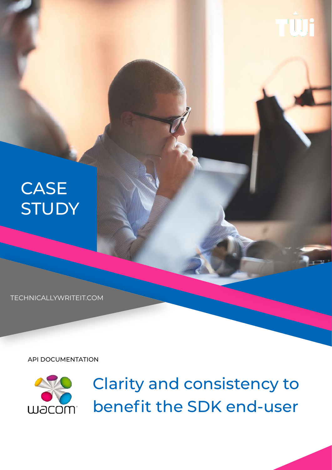

TECHNICALLYWRITEIT.COM

API DOCUMENTATION



Clarity and consistency to benefit the SDK end-user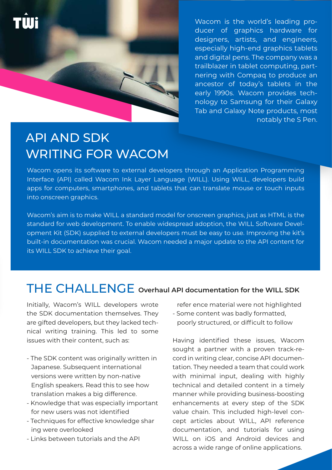

Wacom is the world's leading producer of graphics hardware for designers, artists, and engineers, especially high-end graphics tablets and digital pens. The company was a trailblazer in tablet computing, partnering with Compaq to produce an ancestor of today's tablets in the early 1990s. Wacom provides technology to Samsung for their Galaxy Tab and Galaxy Note products, most notably the S Pen.

## API AND SDK WRITING FOR WACOM

Wacom opens its software to external developers through an Application Programming Interface (API) called Wacom Ink Layer Language (WILL). Using WILL, developers build apps for computers, smartphones, and tablets that can translate mouse or touch inputs into onscreen graphics.

Wacom's aim is to make WILL a standard model for onscreen graphics, just as HTML is the standard for web development. To enable widespread adoption, the WILL Software Development Kit (SDK) supplied to external developers must be easy to use. Improving the kit's built-in documentation was crucial. Wacom needed a major update to the API content for its WILL SDK to achieve their goal.

#### THE CHALLENGE **Overhaul API documentation for the WILL SDK**

Initially, Wacom's WILL developers wrote the SDK documentation themselves. They are gifted developers, but they lacked technical writing training. This led to some issues with their content, such as:

- The SDK content was originally written in Japanese. Subsequent international versions were written by non-native English speakers. Read this to see how translation makes a big difference.
- Knowledge that was especially important for new users was not identified
- Techniques for effective knowledge shar ing were overlooked
- Links between tutorials and the API

refer ence material were not highlighted - Some content was badly formatted,

poorly structured, or difficult to follow

Having identified these issues, Wacom sought a partner with a proven track-record in writing clear, concise API documentation. They needed a team that could work with minimal input, dealing with highly technical and detailed content in a timely manner while providing business-boosting enhancements at every step of the SDK value chain. This included high-level concept articles about WILL, API reference documentation, and tutorials for using WILL on iOS and Android devices and across a wide range of online applications.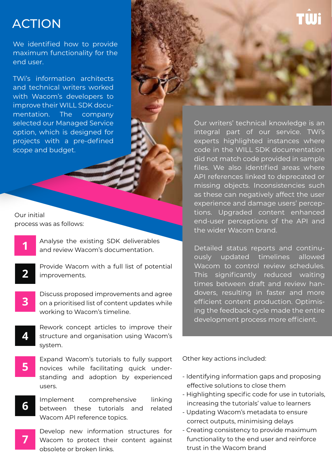### ACTION

We identified how to provide maximum functionality for the end user.

TWi's information architects and technical writers worked with Wacom's developers to improve their WILL SDK documentation. The company selected our Managed Service option, which is designed for projects with a pre-defined scope and budget.

Our initial process was as follows:

**1**

**2**

**3**

**7**

Analyse the existing SDK deliverables and review Wacom's documentation.

Provide Wacom with a full list of potential improvements.

Discuss proposed improvements and agree on a prioritised list of content updates while working to Wacom's timeline.

- **4** Rework concept articles to improve their structure and organisation using Wacom's system.
- **5** Expand Wacom's tutorials to fully support novices while facilitating quick understanding and adoption by experienced users.
- **6** Implement comprehensive linking between these tutorials and related Wacom API reference topics.
	- Develop new information structures for Wacom to protect their content against obsolete or broken links.

Our writers' technical knowledge is an integral part of our service. TWi's experts highlighted instances where code in the WILL SDK documentation did not match code provided in sample files. We also identified areas where API references linked to deprecated or missing objects. Inconsistencies such as these can negatively affect the user experience and damage users' perceptions. Upgraded content enhanced end-user perceptions of the API and the wider Wacom brand.

Detailed status reports and continuously updated timelines allowed Wacom to control review schedules. This significantly reduced waiting times between draft and review handovers, resulting in faster and more efficient content production. Optimising the feedback cycle made the entire development process more efficient.

Other key actions included:

- Identifying information gaps and proposing effective solutions to close them
- Highlighting specific code for use in tutorials, increasing the tutorials' value to learners
- Updating Wacom's metadata to ensure correct outputs, minimising delays
- Creating consistency to provide maximum functionality to the end user and reinforce trust in the Wacom brand